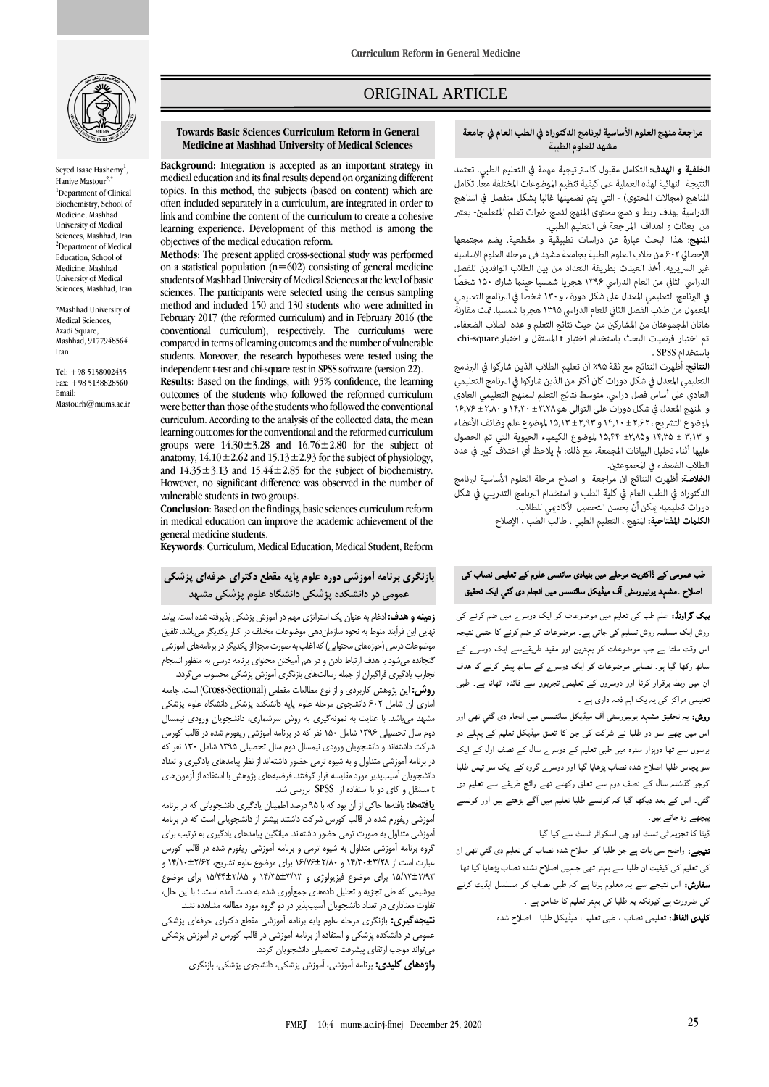

Seyed Isaac Hashemy<sup>1</sup>, Hanive Mastour <sup>1</sup>Department of Clinical Biochemistry, School of Medicine, Mashhad University of Medical Sciences, Mashhad, Iran <sup>2</sup>Department of Medical Education, School of Medicine, Mashhad University of Medical Sciences, Mashhad, Iran

\*Mashhad University of Medical Sciences, Azadi Square, Mashhad, 9177948564 Iran

Tel: +98 5138002435 Fax: +98 5138828560 Email: Mastourh@mums.ac.in

# ORIGINAL ARTICLE

### مراجعة منهج العلوم الأساسية لبرنامج الدكتوراه في الطب العام في جامعة مشهد للعلوم الطبية

ص

الخلفية و الهدف: التكامل مقبول كاستراتيجية مهمة في التعليم الطبي. تعتمد النتيجة النهائية لهذه العملية على كيفية تنظيم الموضوعات المختلفة معًا. تكامل المناهج (مجالات المحتوى) - التي يتم تضمينها غالبا بشكل منفصل في المناهج الدراسية بهدف ربط و دمج محتوى المنهج لدمج خبرات تعلم المتعلمين- يعتبر ... ... ...<br>من ٌ بعثات و اهداف ۖ المراجعة في التعليم الطبي.

المنهج: هذا البحث عبارة عن دراسات تطبيقية و مقطعية. يضم مجتمعها الإحصائي ٤٠٢ من طلاب العلوم الطبية بجامعة مشهد في مرحله العلوم الاساسيه غير السريريه. أخذ العينات بطريقة التعداد من بين الطلاب الوافدين للفصل الدراسي الثاني من العام الدراسي ١٣٩۶ هجريا شمسيا حينما شارك ١۵٠ شخصًا في البرنامج التعليمي المعدل على شكل دورة ، و ١٣٠ شخصًا في البرنامج التعليمي المعمول من طلاب الفصل الثاني للعام الدراسي ١٣٩۵ هجريا شمسيا. مّت مقارنة هاتان المجموعتان من المشاركين من حيث نتأئج التعلم و عدد الطلاب الضعفاء. تم اختبار فرضيات البحث باستخدام اختبار t المستقل و اختبار chi-square باستخدام SPSS .

**النتائج:** أُطهرت النتائج مع ثقة ٩٥٪ آن تعليم الطلاب الذين شاركوا في البرنامج التعليمي المعدل في شكل دورات كان أكثر من الذين شاركوا في البرنامج التعليمي العادي على أساس فصل دراسي. متوسط نتائج التعلم للمنهج التعليمي العادي و المنهج المعدل في شكل دورات على التوالي هو ١٤,٣٨ ± ١٤,٣٠ و ١٤,٧٠ ± ١٤,٧۶ لموضوع التشريح ، ٢,٢٢ ± ١٤,١٣ و ٢,٩٣ ± ١۵,١٣ لموضوع علم وظائف الأعضاء و ١٣,٢٥ ± ١٤,٣٥ و١٨,٢٥ ± ١٥,٤٢ لموضوع الكيمياء الحيوية التي تم الحصول عليها أثناء تحليل البيانات المجمعة. مع ذلك؛ لمّ يلاحظ أيّ اختلافٌ كبير في عدد 

**الخلاصة**: أظهرت النتائج ان مراجعة و اصلاح مرحلة العلوم الأساسية لبرنامج الدكتوراه في الطب العام في كلية الطب و استخدام البرنامج التدريبي في شكل دورات تعليميه مكن أن يحسن التحصيل الأكادمي للطلاب.

الكلمات المفتاحية: المنهج ، التعليم الطبي ، طالب الطب ، الإصلاح

### طب عمومی کے ڈاکٹریت مرحلے میں بنیادی سائنسی علوم کے تعلیمی نصاب کی اصلاح ۔مشہد یونیورسٹی آف میڈیکل سائنسس میں انجام دی گئی ایک تحقیق

**بیک گراونڈ:** علم طب کی تعلیم میں موضوعات کو ایک دوسرے میں ضم کرنے کی روش ایک مسلمہ روش تسلیم کی جاتی ہے۔ موضوعات کو ضم کرنے کا حتمی نتیجہ اس وقت ملتا ہے جب موضوعات کو بہترین اور مفید طریقےسے ایک دوسرے کے ساتھ رکھا گيا ہو۔ نصابی موضوعات کو ایک دوسرے کے ساتھ پیش کرنے کا ھدف ان میں ربط برقرار کرنا اور دوسروں کے تعلیمی تجربوں سے فائدہ اٹھانا ہے۔ طبی تعلیمی مراکز کی یہ یک اہم ذمہ داری ہے ۔

**روش:** یہ تحقیق مشہد یونیورسٹی آف میڈیکل سائنسس میں انجام دی گئی تھی اور اس میں چھے سو دو طلبا نے شرکت کی جن کا تعلق میڈیکل تعلیم کے پہلے دو برسوں سے تھا دوہزار سترہ میں طبی تعلیم کے دوسرے سال کے نصف اول کے ایک سو پچاس طلبا اصلاح شدہ نصاب پڑھایا گيا اور دوسرے گروہ کے ایک سو تیس طلبا کوجو گذشتہ سال کے نصف دوم سے تعلق رکھتے تھے رائج طریقے سے تعلیم دی گئی۔ اس کے بعد دیکھا گيا کہ کونسے طلبا تعلیم میں ا گے بڑھتے ہیں اور کونسے پیچھے رہ جاتے ہیں۔

ڈیٹا کا تجزیہ ٹی ٹسٹ اور چی اسکوائر ٹسٹ سے کیا گيا۔

نتیجے: واضح سی بات ہے جن طلبا کو اصلاح شدہ نصاب کی تعلیم دی گئي تھی ان کی تعلیم کی کیفیت ان طلبا سے بہتر تھی جنہیں اصلاح نشدہ نصاب پڑھایا گيا تھا۔ سفارش: اس نتیجے سے یہ معلوم ہوتا ہے کہ طبی نصاب کو مسلسل اپڈیٹ کرنے کی ضرورت ہے کیونکہ یہ طلبا کی بہتر تعلیم کا ضامن ہے ۔

کلیدی الفاظ: تعلیمی نصاب ، طبی تعلیم ، میڈیکل طلبا ۔ اصلاح شدہ

#### **Towards Basic Sciences Curriculum Reform in General Medicine at Mashhad University of Medical Sciences**

**Background:** Integration is accepted as an important strategy in medical education and its final results depend on organizing different topics. In this method, the subjects (based on content) which are often included separately in a curriculum, are integrated in order to link and combine the content of the curriculum to create a cohesive learning experience. Development of this method is among the objectives of the medical education reform.

**Methods:** The present applied cross-sectional study was performed on a statistical population ( $n=602$ ) consisting of general medicine students of Mashhad University of Medical Sciences at the level of basic sciences. The participants were selected using the census sampling method and included 150 and 130 students who were admitted in February 2017 (the reformed curriculum) and in February 2016 (the conventional curriculum), respectively. The curriculums were compared in terms of learning outcomes and the number of vulnerable students. Moreover, the research hypotheses were tested using the independent t-test and chi-square test in SPSS software (version 22).

**Results**: Based on the findings, with 95% confidence, the learning outcomes of the students who followed the reformed curriculum were better than those of the students who followed the conventional curriculum. According to the analysis of the collected data, the mean learning outcomes for the conventional and the reformed curriculum groups were  $14.30 \pm 3.28$  and  $16.76 \pm 2.80$  for the subject of anatomy,  $14.10 \pm 2.62$  and  $15.13 \pm 2.93$  for the subject of physiology, and  $14.35 \pm 3.13$  and  $15.44 \pm 2.85$  for the subject of biochemistry. However, no significant difference was observed in the number of vulnerable students in two groups.

**Conclusion**: Based on the findings, basic sciences curriculum reform in medical education can improve the academic achievement of the general medicine students.

**Keywords**: Curriculum, Medical Education, Medical Student, Reform

## **بازنگری برنامه آموزشی دوره علوم پایه مقطع دکترای حرفهای پزشکی عمومی در دانشکده پزشکی دانشگاه علوم پزشکی مشهد**

**زمینه و هدف:** ادغام به عنوان یک استراتژی مهم در آموزش پزشکی پذیرفته شده است. پیامد نهایی این فرآیند منوط به نحوه سازماندهی موضوعات مختلف در کنار یکدیگر میباشد. تلفیق موضوعات درسی )حوزههای محتوایی( که اغلب به صورت مجزا از یکدیگر در برنامههای آموزشی گنجانده میشود با هدف ارتباط دادن و در هم آمیختن محتوای برنامه درسی به منظور انسجام تجارب یادگیری فراگیران از جمله رسالتهای بازنگری آموزش پزشکی محسوب میگردد.

**روش:** این پژوهش کاربردی و از نوع مطالعات مقطعی (Cross-Sectional) است. جامعه آماری آن شامل 602 دانشجوی مرحله علوم پایه دانشکده پزشکی دانشگاه علوم پزشکی مشهد میباشد. با عنایت به نمونهگیری به روش سرشماری، دانشجویان ورودی نیمسال دوم سال تحصیلی 1396 شامل 150 نفر که در برنامه آموزشی ریفورم شده در قالب کورس شرکت داشتهاند و دانشجویان ورودی نیمسال دوم سال تحصیلی 1395 شامل 130 نفر که در برنامه آموزشی متداول و به شیوه ترمی حضور داشتهاند از نظر پیامدهای یادگیری و تعداد دانشجویان آسیبپذیر مورد مقایسه قرار گرفتند. فرضیههای پژوهش با استفاده از آزمونهای t مستقل و کای دو با استفاده از SPSS بررسی شد.

**یافتهها:** یافتهها حاکی از آن بود که با 95 درصد اطمینان یادگیری دانشجویانی که در برنامه آموزشی ریفورم شده در قالب کورس شرکت داشتند بیشتر از دانشجویانی است که در برنامه آموزشی متداول به صورت ترمی حضور داشتهاند. میانگین پیامدهای یادگیری به ترتیب برای گروه برنامه آموزشی متداول به شیوه ترمی و برنامه آموزشی ریفورم شده در قالب کورس عبارت است از 14/30±3/28 و 16/76±2/80 برای موضوع علوم تشریح، 14/10±2/62 و 15/13±2/93 برای موضوع فیزیولوژی و 14/35±3/13 و 15/44±2/85 برای موضوع بیوشیمی که طی تجزیه و تحلیل دادههای جمعآوری شده به دست آمده است. ؛ با این حال، تفاوت معناداری در تعداد دانشجویان آسیبپذیر در دو گروه مورد مطالعه مشاهده نشد.

**نتیجهگیری:** بازنگری مرحله علوم پایه برنامه آموزشی مقطع دکترای حرفهای پزشکی عمومی در دانشکده پزشکی و استفاده از برنامه آموزشی در قالب کورس در آموزش پزشکی میتواند موجب ارتقای پیشرفت تحصیلی دانشجویان گردد.

**واژههای کلیدی:** برنامه آموزشی، آموزش پزشکی، دانشجوی پزشکی، بازنگری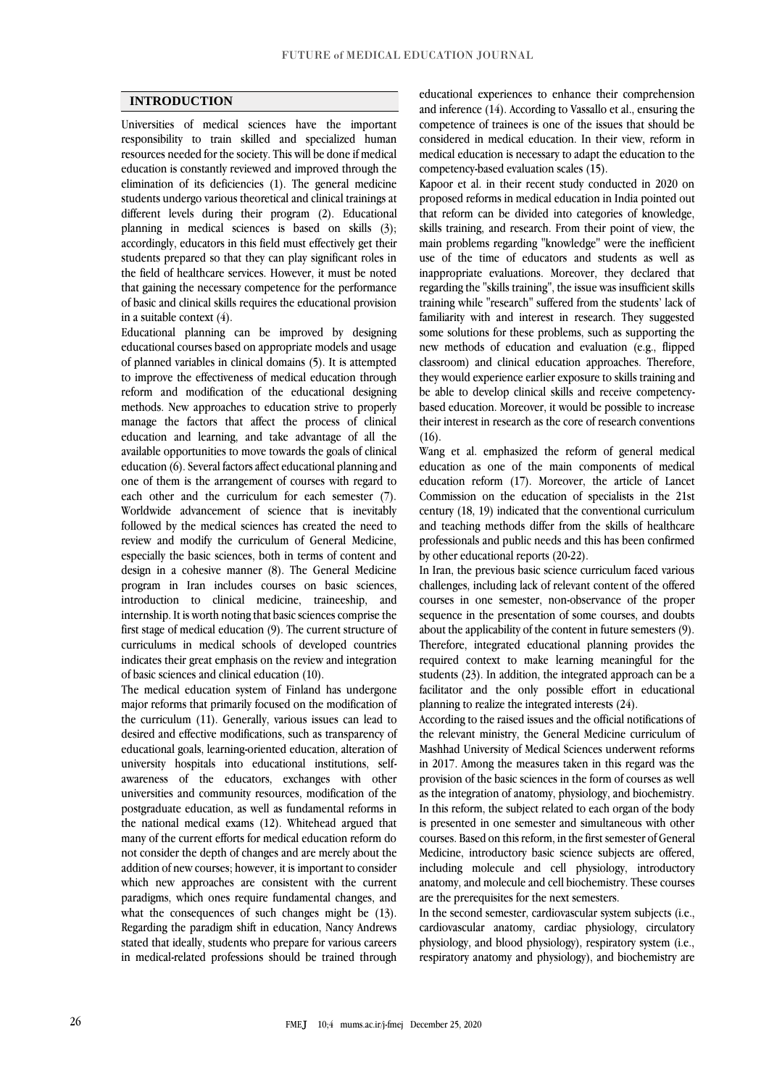### **INTRODUCTION**

Universities of medical sciences have the important responsibility to train skilled and specialized human resources needed for the society. This will be done if medical education is constantly reviewed and improved through the elimination of its deficiencies (1). The general medicine students undergo various theoretical and clinical trainings at different levels during their program (2). Educational planning in medical sciences is based on skills (3); accordingly, educators in this field must effectively get their students prepared so that they can play significant roles in the field of healthcare services. However, it must be noted that gaining the necessary competence for the performance of basic and clinical skills requires the educational provision in a suitable context (4).

Educational planning can be improved by designing educational courses based on appropriate models and usage of planned variables in clinical domains (5). It is attempted to improve the effectiveness of medical education through reform and modification of the educational designing methods. New approaches to education strive to properly manage the factors that affect the process of clinical education and learning, and take advantage of all the available opportunities to move towards the goals of clinical education (6). Several factors affect educational planning and one of them is the arrangement of courses with regard to each other and the curriculum for each semester (7). Worldwide advancement of science that is inevitably followed by the medical sciences has created the need to review and modify the curriculum of General Medicine, especially the basic sciences, both in terms of content and design in a cohesive manner (8). The General Medicine program in Iran includes courses on basic sciences, introduction to clinical medicine, traineeship, and internship. It is worth noting that basic sciences comprise the first stage of medical education (9). The current structure of curriculums in medical schools of developed countries indicates their great emphasis on the review and integration of basic sciences and clinical education (10).

The medical education system of Finland has undergone major reforms that primarily focused on the modification of the curriculum (11). Generally, various issues can lead to desired and effective modifications, such as transparency of educational goals, learning-oriented education, alteration of university hospitals into educational institutions, selfawareness of the educators, exchanges with other universities and community resources, modification of the postgraduate education, as well as fundamental reforms in the national medical exams (12). Whitehead argued that many of the current efforts for medical education reform do not consider the depth of changes and are merely about the addition of new courses; however, it is important to consider which new approaches are consistent with the current paradigms, which ones require fundamental changes, and what the consequences of such changes might be (13). Regarding the paradigm shift in education, Nancy Andrews stated that ideally, students who prepare for various careers in medical-related professions should be trained through educational experiences to enhance their comprehension and inference (14). According to Vassallo et al., ensuring the competence of trainees is one of the issues that should be considered in medical education. In their view, reform in medical education is necessary to adapt the education to the competency-based evaluation scales (15).

Kapoor et al. in their recent study conducted in 2020 on proposed reforms in medical education in India pointed out that reform can be divided into categories of knowledge, skills training, and research. From their point of view, the main problems regarding "knowledge" were the inefficient use of the time of educators and students as well as inappropriate evaluations. Moreover, they declared that regarding the "skills training", the issue was insufficient skills training while "research" suffered from the students' lack of familiarity with and interest in research. They suggested some solutions for these problems, such as supporting the new methods of education and evaluation (e.g., flipped classroom) and clinical education approaches. Therefore, they would experience earlier exposure to skills training and be able to develop clinical skills and receive competencybased education. Moreover, it would be possible to increase their interest in research as the core of research conventions  $(16)$ .

Wang et al. emphasized the reform of general medical education as one of the main components of medical education reform (17). Moreover, the article of Lancet Commission on the education of specialists in the 21st century (18, 19) indicated that the conventional curriculum and teaching methods differ from the skills of healthcare professionals and public needs and this has been confirmed by other educational reports (20-22).

In Iran, the previous basic science curriculum faced various challenges, including lack of relevant content of the offered courses in one semester, non-observance of the proper sequence in the presentation of some courses, and doubts about the applicability of the content in future semesters (9). Therefore, integrated educational planning provides the required context to make learning meaningful for the students (23). In addition, the integrated approach can be a facilitator and the only possible effort in educational planning to realize the integrated interests (24).

According to the raised issues and the official notifications of the relevant ministry, the General Medicine curriculum of Mashhad University of Medical Sciences underwent reforms in 2017. Among the measures taken in this regard was the provision of the basic sciences in the form of courses as well as the integration of anatomy, physiology, and biochemistry. In this reform, the subject related to each organ of the body is presented in one semester and simultaneous with other courses. Based on this reform, in the first semester of General Medicine, introductory basic science subjects are offered, including molecule and cell physiology, introductory anatomy, and molecule and cell biochemistry. These courses are the prerequisites for the next semesters.

In the second semester, cardiovascular system subjects (i.e., cardiovascular anatomy, cardiac physiology, circulatory physiology, and blood physiology), respiratory system (i.e., respiratory anatomy and physiology), and biochemistry are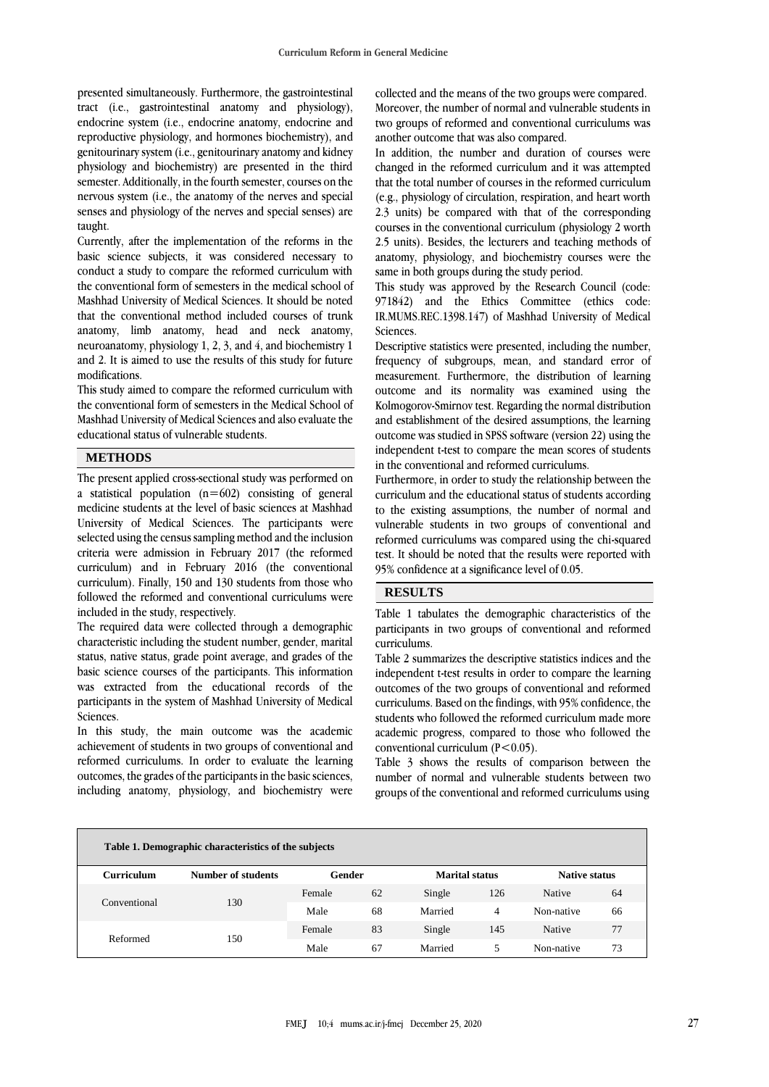presented simultaneously. Furthermore, the gastrointestinal tract (i.e., gastrointestinal anatomy and physiology), endocrine system (i.e., endocrine anatomy, endocrine and reproductive physiology, and hormones biochemistry), and genitourinary system (i.e., genitourinary anatomy and kidney physiology and biochemistry) are presented in the third semester. Additionally, in the fourth semester, courses on the nervous system (i.e., the anatomy of the nerves and special senses and physiology of the nerves and special senses) are taught.

Currently, after the implementation of the reforms in the basic science subjects, it was considered necessary to conduct a study to compare the reformed curriculum with the conventional form of semesters in the medical school of Mashhad University of Medical Sciences. It should be noted that the conventional method included courses of trunk anatomy, limb anatomy, head and neck anatomy, neuroanatomy, physiology 1, 2, 3, and 4, and biochemistry 1 and 2. It is aimed to use the results of this study for future modifications.

This study aimed to compare the reformed curriculum with the conventional form of semesters in the Medical School of Mashhad University of Medical Sciences and also evaluate the educational status of vulnerable students.

## **METHODS**

The present applied cross-sectional study was performed on a statistical population  $(n=602)$  consisting of general medicine students at the level of basic sciences at Mashhad University of Medical Sciences. The participants were selected using the census sampling method and the inclusion criteria were admission in February 2017 (the reformed curriculum) and in February 2016 (the conventional curriculum). Finally, 150 and 130 students from those who followed the reformed and conventional curriculums were included in the study, respectively.

The required data were collected through a demographic characteristic including the student number, gender, marital status, native status, grade point average, and grades of the basic science courses of the participants. This information was extracted from the educational records of the participants in the system of Mashhad University of Medical Sciences.

In this study, the main outcome was the academic achievement of students in two groups of conventional and reformed curriculums. In order to evaluate the learning outcomes, the grades of the participants in the basic sciences, including anatomy, physiology, and biochemistry were

collected and the means of the two groups were compared. Moreover, the number of normal and vulnerable students in two groups of reformed and conventional curriculums was another outcome that was also compared.

In addition, the number and duration of courses were changed in the reformed curriculum and it was attempted that the total number of courses in the reformed curriculum (e.g., physiology of circulation, respiration, and heart worth 2.3 units) be compared with that of the corresponding courses in the conventional curriculum (physiology 2 worth 2.5 units). Besides, the lecturers and teaching methods of anatomy, physiology, and biochemistry courses were the same in both groups during the study period.

This study was approved by the Research Council (code: 971842) and the Ethics Committee (ethics code: IR.MUMS.REC.1398.147) of Mashhad University of Medical **Sciences** 

Descriptive statistics were presented, including the number, frequency of subgroups, mean, and standard error of measurement. Furthermore, the distribution of learning outcome and its normality was examined using the Kolmogorov-Smirnov test. Regarding the normal distribution and establishment of the desired assumptions, the learning outcome was studied in SPSS software (version 22) using the independent t-test to compare the mean scores of students in the conventional and reformed curriculums.

Furthermore, in order to study the relationship between the curriculum and the educational status of students according to the existing assumptions, the number of normal and vulnerable students in two groups of conventional and reformed curriculums was compared using the chi-squared test. It should be noted that the results were reported with 95% confidence at a significance level of 0.05.

## **RESULTS**

Table 1 tabulates the demographic characteristics of the participants in two groups of conventional and reformed curriculums.

Table 2 summarizes the descriptive statistics indices and the independent t-test results in order to compare the learning outcomes of the two groups of conventional and reformed curriculums. Based on the findings, with 95% confidence, the students who followed the reformed curriculum made more academic progress, compared to those who followed the conventional curriculum  $(P<0.05)$ .

Table 3 shows the results of comparison between the number of normal and vulnerable students between two groups of the conventional and reformed curriculums using

| Table 1. Demographic characteristics of the subjects |                    |        |    |                       |     |                      |    |  |
|------------------------------------------------------|--------------------|--------|----|-----------------------|-----|----------------------|----|--|
| Curriculum                                           | Number of students | Gender |    | <b>Marital status</b> |     | <b>Native status</b> |    |  |
| Conventional                                         | 130                | Female | 62 | Single                | 126 | Native               | 64 |  |
|                                                      |                    | Male   | 68 | Married               | 4   | Non-native           | 66 |  |
| Reformed                                             | 150                | Female | 83 | Single                | 145 | Native               | 77 |  |
|                                                      |                    | Male   | 67 | Married               |     | Non-native           | 73 |  |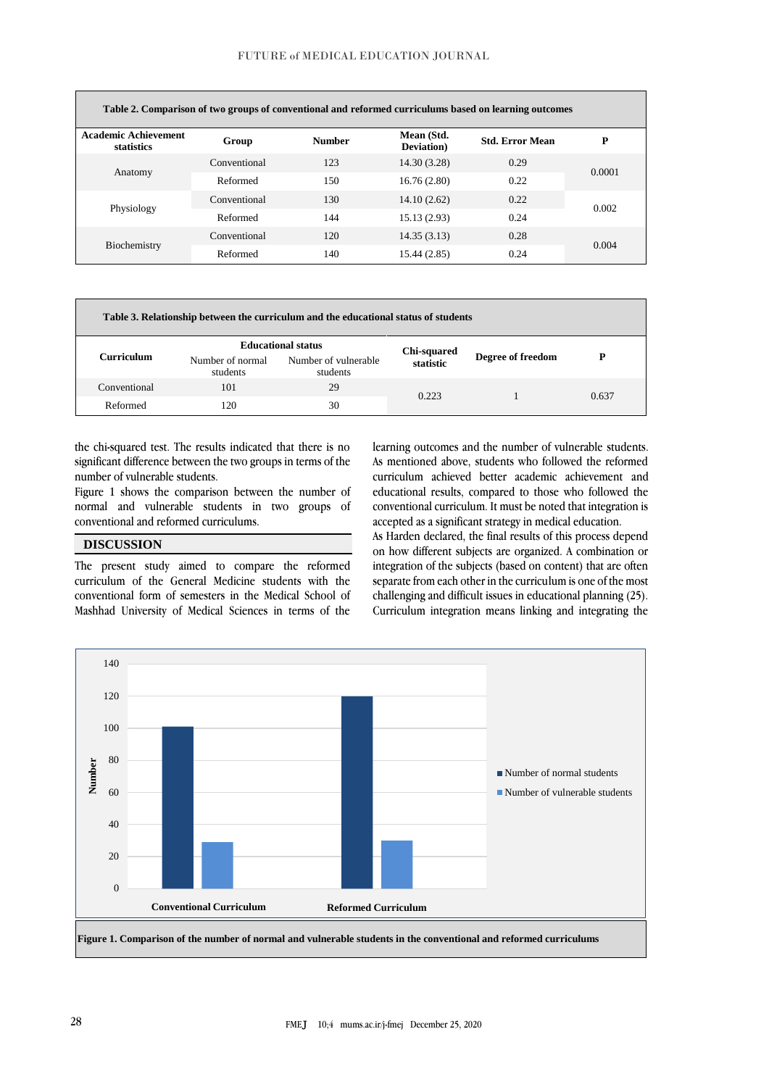| Table 2. Comparison of two groups of conventional and reformed curriculums based on learning outcomes |              |               |                                  |                        |        |  |
|-------------------------------------------------------------------------------------------------------|--------------|---------------|----------------------------------|------------------------|--------|--|
| <b>Academic Achievement</b><br>statistics                                                             | Group        | <b>Number</b> | Mean (Std.<br><b>Deviation</b> ) | <b>Std. Error Mean</b> | P      |  |
| Anatomy                                                                                               | Conventional | 123           | 14.30 (3.28)                     | 0.29                   | 0.0001 |  |
|                                                                                                       | Reformed     | 150           | 16.76(2.80)                      | 0.22                   |        |  |
| Physiology                                                                                            | Conventional | 130           | 14.10(2.62)                      | 0.22                   | 0.002  |  |
|                                                                                                       | Reformed     | 144           | 15.13 (2.93)                     | 0.24                   |        |  |
| Biochemistry                                                                                          | Conventional | 120           | 14.35(3.13)                      | 0.28                   | 0.004  |  |
|                                                                                                       | Reformed     | 140           | 15.44 (2.85)                     | 0.24                   |        |  |

| Table 3. Relationship between the curriculum and the educational status of students |                              |                                                               |                          |                   |       |  |  |
|-------------------------------------------------------------------------------------|------------------------------|---------------------------------------------------------------|--------------------------|-------------------|-------|--|--|
| Curriculum                                                                          | Number of normal<br>students | <b>Educational status</b><br>Number of vulnerable<br>students | Chi-squared<br>statistic | Degree of freedom |       |  |  |
| Conventional                                                                        | 101                          | 29                                                            | 0.223                    |                   | 0.637 |  |  |
| Reformed                                                                            | 120                          | 30                                                            |                          |                   |       |  |  |

the chi-squared test. The results indicated that there is no significant difference between the two groups in terms of the number of vulnerable students.

Figure 1 shows the comparison between the number of normal and vulnerable students in two groups of conventional and reformed curriculums.

# **DISCUSSION**

The present study aimed to compare the reformed curriculum of the General Medicine students with the conventional form of semesters in the Medical School of Mashhad University of Medical Sciences in terms of the

learning outcomes and the number of vulnerable students. As mentioned above, students who followed the reformed curriculum achieved better academic achievement and educational results, compared to those who followed the conventional curriculum. It must be noted that integration is accepted as a significant strategy in medical education.

As Harden declared, the final results of this process depend on how different subjects are organized. A combination or integration of the subjects (based on content) that are often separate from each other in the curriculum is one of the most challenging and difficult issues in educational planning (25). Curriculum integration means linking and integrating the

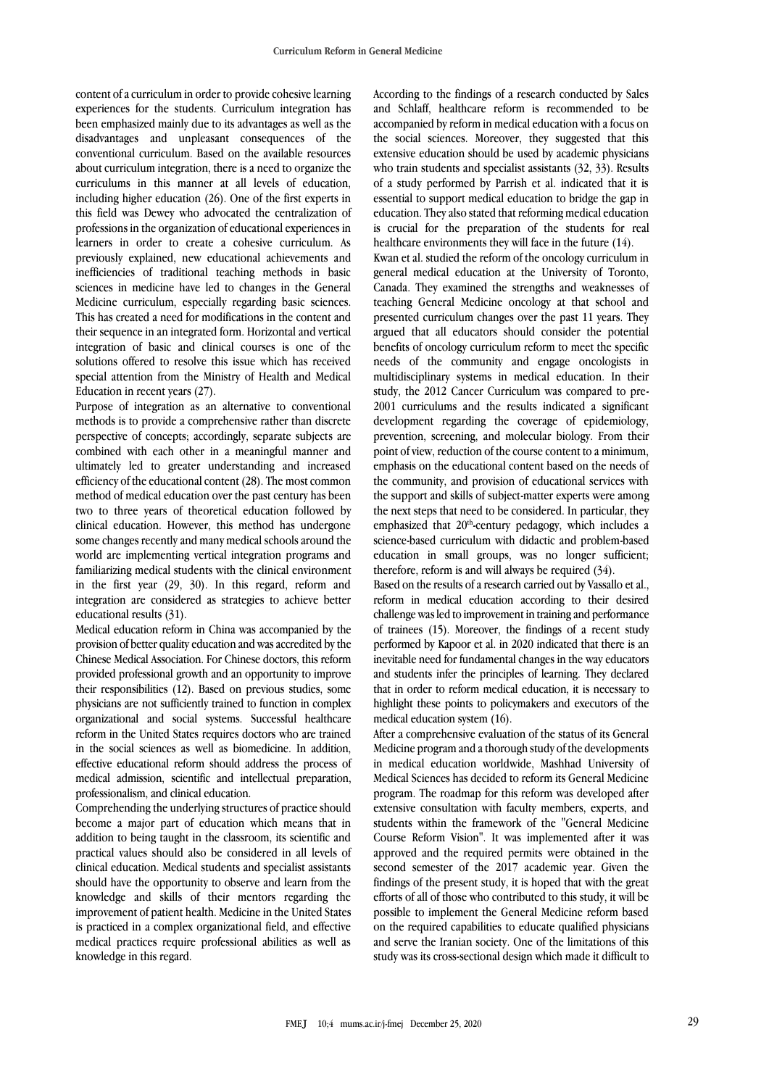content of a curriculum in order to provide cohesive learning experiences for the students. Curriculum integration has been emphasized mainly due to its advantages as well as the disadvantages and unpleasant consequences of the conventional curriculum. Based on the available resources about curriculum integration, there is a need to organize the curriculums in this manner at all levels of education, including higher education (26). One of the first experts in this field was Dewey who advocated the centralization of professions in the organization of educational experiences in learners in order to create a cohesive curriculum. As previously explained, new educational achievements and inefficiencies of traditional teaching methods in basic sciences in medicine have led to changes in the General Medicine curriculum, especially regarding basic sciences. This has created a need for modifications in the content and their sequence in an integrated form. Horizontal and vertical integration of basic and clinical courses is one of the solutions offered to resolve this issue which has received special attention from the Ministry of Health and Medical Education in recent years (27).

Purpose of integration as an alternative to conventional methods is to provide a comprehensive rather than discrete perspective of concepts; accordingly, separate subjects are combined with each other in a meaningful manner and ultimately led to greater understanding and increased efficiency of the educational content (28). The most common method of medical education over the past century has been two to three years of theoretical education followed by clinical education. However, this method has undergone some changes recently and many medical schools around the world are implementing vertical integration programs and familiarizing medical students with the clinical environment in the first year (29, 30). In this regard, reform and integration are considered as strategies to achieve better educational results (31).

Medical education reform in China was accompanied by the provision of better quality education and was accredited by the Chinese Medical Association. For Chinese doctors, this reform provided professional growth and an opportunity to improve their responsibilities (12). Based on previous studies, some physicians are not sufficiently trained to function in complex organizational and social systems. Successful healthcare reform in the United States requires doctors who are trained in the social sciences as well as biomedicine. In addition, effective educational reform should address the process of medical admission, scientific and intellectual preparation, professionalism, and clinical education.

Comprehending the underlying structures of practice should become a major part of education which means that in addition to being taught in the classroom, its scientific and practical values should also be considered in all levels of clinical education. Medical students and specialist assistants should have the opportunity to observe and learn from the knowledge and skills of their mentors regarding the improvement of patient health. Medicine in the United States is practiced in a complex organizational field, and effective medical practices require professional abilities as well as knowledge in this regard.

According to the findings of a research conducted by Sales and Schlaff, healthcare reform is recommended to be accompanied by reform in medical education with a focus on the social sciences. Moreover, they suggested that this extensive education should be used by academic physicians who train students and specialist assistants  $(32, 33)$ . Results of a study performed by Parrish et al. indicated that it is essential to support medical education to bridge the gap in education. They also stated that reforming medical education is crucial for the preparation of the students for real healthcare environments they will face in the future (14).

Kwan et al. studied the reform of the oncology curriculum in general medical education at the University of Toronto, Canada. They examined the strengths and weaknesses of teaching General Medicine oncology at that school and presented curriculum changes over the past 11 years. They argued that all educators should consider the potential benefits of oncology curriculum reform to meet the specific needs of the community and engage oncologists in multidisciplinary systems in medical education. In their study, the 2012 Cancer Curriculum was compared to pre-2001 curriculums and the results indicated a significant development regarding the coverage of epidemiology, prevention, screening, and molecular biology. From their point of view, reduction of the course content to a minimum, emphasis on the educational content based on the needs of the community, and provision of educational services with the support and skills of subject-matter experts were among the next steps that need to be considered. In particular, they emphasized that 20<sup>th</sup>-century pedagogy, which includes a science-based curriculum with didactic and problem-based education in small groups, was no longer sufficient; therefore, reform is and will always be required (34).

Based on the results of a research carried out by Vassallo et al., reform in medical education according to their desired challenge was led to improvement in training and performance of trainees (15). Moreover, the findings of a recent study performed by Kapoor et al. in 2020 indicated that there is an inevitable need for fundamental changes in the way educators and students infer the principles of learning. They declared that in order to reform medical education, it is necessary to highlight these points to policymakers and executors of the medical education system (16).

After a comprehensive evaluation of the status of its General Medicine program and a thorough study of the developments in medical education worldwide, Mashhad University of Medical Sciences has decided to reform its General Medicine program. The roadmap for this reform was developed after extensive consultation with faculty members, experts, and students within the framework of the "General Medicine Course Reform Vision". It was implemented after it was approved and the required permits were obtained in the second semester of the 2017 academic year. Given the findings of the present study, it is hoped that with the great efforts of all of those who contributed to this study, it will be possible to implement the General Medicine reform based on the required capabilities to educate qualified physicians and serve the Iranian society. One of the limitations of this study was its cross-sectional design which made it difficult to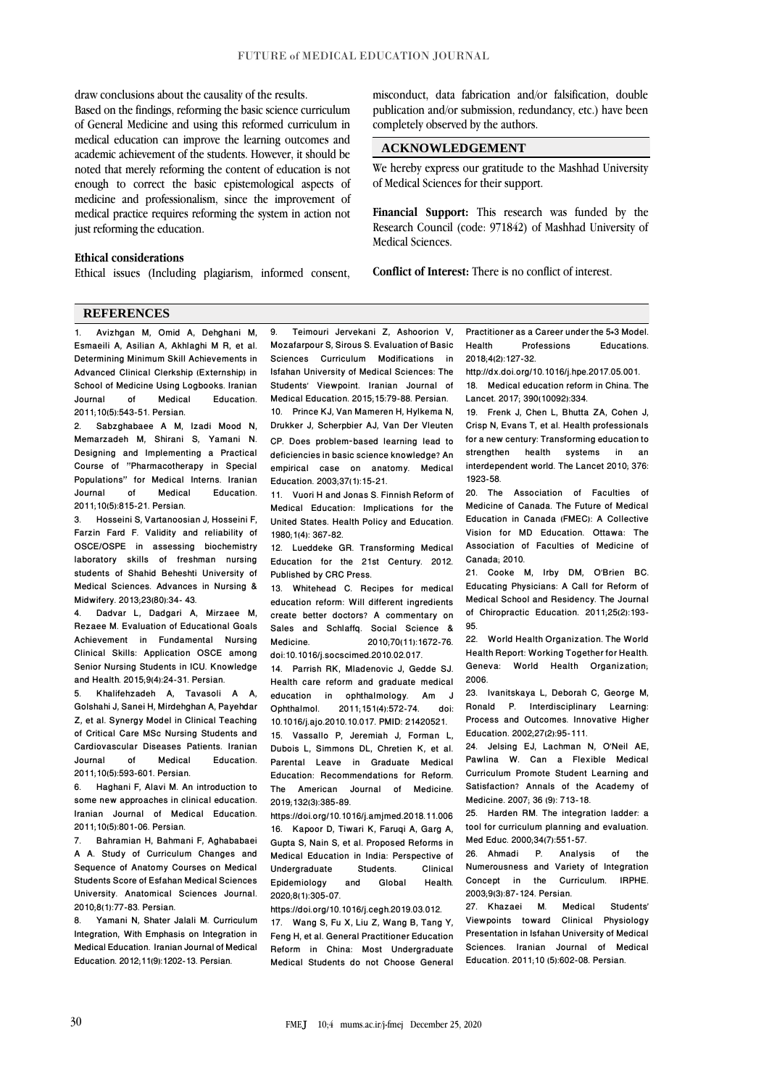draw conclusions about the causality of the results.

Based on the findings, reforming the basic science curriculum of General Medicine and using this reformed curriculum in medical education can improve the learning outcomes and academic achievement of the students. However, it should be noted that merely reforming the content of education is not enough to correct the basic epistemological aspects of medicine and professionalism, since the improvement of medical practice requires reforming the system in action not just reforming the education.

### **Ethical considerations**

Ethical issues (Including plagiarism, informed consent,

misconduct, data fabrication and/or falsification, double publication and/or submission, redundancy, etc.) have been completely observed by the authors.

### **ACKNOWLEDGEMENT**

We hereby express our gratitude to the Mashhad University of Medical Sciences for their support.

**Financial Support:** This research was funded by the Research Council (code: 971842) of Mashhad University of Medical Sciences.

**Conflict of Interest:** There is no conflict of interest.

#### **REFERENCES**

1. Avizhgan M, Omid A, Dehghani M, Esmaeili A, Asilian A, Akhlaghi M R, et al. Determining Minimum Skill Achievements in Advanced Clinical Clerkship (Externship) in School of Medicine Using Logbooks. Iranian<br>Journal of Medical Education. Education. 2011;10(5):543-51. Persian.

Sabzghabaee A M, Izadi Mood N, Memarzadeh M, Shirani S, Yamani N. Designing and Implementing a Practical Course of "Pharmacotherapy in Special Populations" for Medical Interns. Iranian **Education** 2011;10(5):815-21. Persian.

3. Hosseini S, Vartanoosian J, Hosseini F, Farzin Fard F. Validity and reliability of OSCE/OSPE in assessing biochemistry laboratory skills of freshman nursing students of Shahid Beheshti University of Medical Sciences. Advances in Nursing & Midwifery. 2013;23(80):34- 43.

4. Dadvar L, Dadgari A, Mirzaee M, Rezaee M. Evaluation of Educational Goals Achievement in Fundamental Nursing Clinical Skills: Application OSCE among Senior Nursing Students in ICU. Knowledge and Health. 2015;9(4):24-31. Persian.

5. Khalifehzadeh A, Tavasoli A A, Golshahi J, Sanei H, Mirdehghan A, Payehdar Z, et al. Synergy Model in Clinical Teaching of Critical Care MSc Nursing Students and Cardiovascular Diseases Patients. Iranian Education. 2011;10(5):593-601. Persian.

6. Haghani F, Alavi M. An introduction to some new approaches in clinical education. Iranian Journal of Medical Education. 2011;10(5):801-06. Persian.

7. Bahramian H, Bahmani F, Aghababaei A A. Study of Curriculum Changes and Sequence of Anatomy Courses on Medical Students Score of Esfahan Medical Sciences University. Anatomical Sciences Journal. 2010;8(1):77-83. Persian.

8. Yamani N, Shater Jalali M. Curriculum Integration, With Emphasis on Integration in Medical Education. Iranian Journal of Medical Education. 2012;11(9):1202-13. Persian.

9. Teimouri Jervekani Z, Ashoorion V, Mozafarpour S, Sirous S. Evaluation of Basic Sciences Curriculum Modifications in Isfahan University of Medical Sciences: The Students' Viewpoint. Iranian Journal of Medical Education. 2015;15:79-88. Persian.

10. Prince KJ, Van Mameren H, Hylkema N, Drukker J, Scherpbier AJ, Van Der Vleuten CP. Does problem‐based learning lead to deficiencies in basic science knowledge? An empirical case on anatomy. Medical Education. 2003;37(1):15-21.

11. Vuori H and Jonas S. Finnish Reform of Medical Education: Implications for the United States. Health Policy and Education. 1980;1(4): 367-82.

12. Lueddeke GR. Transforming Medical Education for the 21st Century. 2012. Published by CRC Press.

13. Whitehead C. Recipes for medical education reform: Will different ingredients create better doctors? A commentary on Sales and Schlaffq. Social Science &<br>Medicine 2010:70(11):1672-76 Medicine. 2010;70(11):1672-76. doi:10.1016/j.socscimed.2010.02.017.

14. Parrish RK, Mladenovic J, Gedde SJ. Health care reform and graduate medical<br>education in ophthalmology. Am J education in ophthalmology. Am<br>Ophthalmol. 2011:151(4):572-74. 2011;151(4):572-74. doi: 10.1016/j.ajo.2010.10.017. PMID: 21420521. 15. Vassallo P, Jeremiah J, Forman L, Dubois L, Simmons DL, Chretien K, et al. Parental Leave in Graduate Medical Education: Recommendations for Reform. The American Journal of Medicine. 2019;132(3):385-89.

https://doi.org/10.1016/j.amjmed.2018.11.006 16. Kapoor D, Tiwari K, Faruqi A, Garg A, Gupta S, Nain S, et al. Proposed Reforms in Medical Education in India: Perspective of<br>Undergraduate Students. Clinical Undergraduate Students. Clinical<br>Epidemiology and Global Health. Epidemiology 2020;8(1):305-07.

https://doi.org/10.1016/j.cegh.2019.03.012. 17. Wang S, Fu X, Liu Z, Wang B, Tang Y, Feng H, et al. General Practitioner Education Reform in China: Most Undergraduate Medical Students do not Choose General Practitioner as a Career under the 5+3 Model. Professions 2018;4(2):127-32.

[http://dx.doi.org/10.1016/j.hpe.2017.05.001.](http://dx.doi.org/10.1016/j.hpe.2017.05.001) 18. Medical education reform in China. The Lancet. 2017; 390(10092):334.

19. Frenk J, Chen L, Bhutta ZA, Cohen J, Crisp N, Evans T, et al. Health professionals for a new century: Transforming education to strengthen health systems in an interdependent world. The Lancet 2010; 376: 1923-58.

20. The Association of Faculties of Medicine of Canada. The Future of Medical Education in Canada (FMEC): A Collective Vision for MD Education. Ottawa: The Association of Faculties of Medicine of Canada; 2010.

21. Cooke M, Irby DM, O'Brien BC. Educating Physicians: A Call for Reform of Medical School and Residency. The [Journal](https://www.ncbi.nlm.nih.gov/pmc/articles/PMC3204956/)  [of Chiropractic Educa](https://www.ncbi.nlm.nih.gov/pmc/articles/PMC3204956/)tion. 2011;25(2):193- 95.

22. World Health Organization. The World Health Report: Working Together for Health. Geneva: World Health Organization; 2006.

23. Ivanitskaya L, Deborah C, George M, Ronald P. Interdisciplinary Learning: Process and Outcomes. Innovative Higher Education. 2002;27(2):95-111.

24. Jelsing EJ, Lachman N, O'Neil AE, Pawlina W. Can a Flexible Medical Curriculum Promote Student Learning and Satisfaction? Annals of the Academy of Medicine. 2007; 36 (9): 713-18.

25. Harden RM. The integration ladder: a tool for curriculum planning and evaluation. Med Educ. 2000;34(7):551-57.<br>26. Ahmadi P. Analysis

26. Ahmadi P. Analysis of the Numerousness and Variety of Integration Concept in the Curriculum. IRPHE. 2003;9(3):87-124. Persian.

27. Khazaei M. Medical Students' Viewpoints toward Clinical Physiology Presentation in Isfahan University of Medical Sciences. Iranian Journal of Medical Education. 2011;10 (5):602-08. Persian.